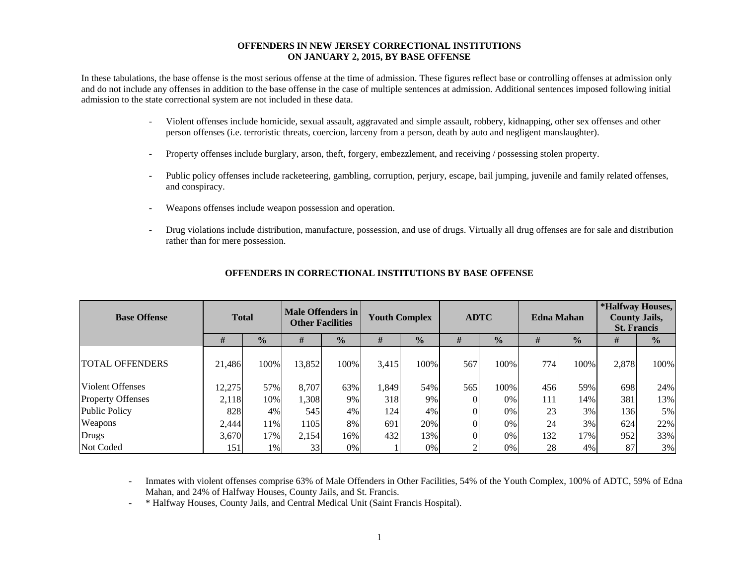#### **OFFENDERS IN NEW JERSEY CORRECTIONAL INSTITUTIONS ON JANUARY 2, 2015, BY BASE OFFENSE**

In these tabulations, the base offense is the most serious offense at the time of admission. These figures reflect base or controlling offenses at admission only and do not include any offenses in addition to the base offense in the case of multiple sentences at admission. Additional sentences imposed following initial admission to the state correctional system are not included in these data.

- - Violent offenses include homicide, sexual assault, aggravated and simple assault, robbery, kidnapping, other sex offenses and other person offenses (i.e. terroristic threats, coercion, larceny from a person, death by auto and negligent manslaughter).
- Property offenses include burglary, arson, theft, forgery, embezzlement, and receiving / possessing stolen property.
- Public policy offenses include racketeering, gambling, corruption, perjury, escape, bail jumping, juvenile and family related offenses, and conspiracy.
- Weapons offenses include weapon possession and operation.
- Drug violations include distribution, manufacture, possession, and use of drugs. Virtually all drug offenses are for sale and distribution rather than for mere possession.

| <b>Base Offense</b>      | <b>Total</b> |               | Male Offenders in<br><b>Other Facilities</b> |               | <b>Youth Complex</b> |               | <b>ADTC</b> |               | <b>Edna Mahan</b> |               | *Halfway Houses,<br><b>County Jails,</b><br><b>St. Francis</b> |               |
|--------------------------|--------------|---------------|----------------------------------------------|---------------|----------------------|---------------|-------------|---------------|-------------------|---------------|----------------------------------------------------------------|---------------|
|                          | #            | $\frac{0}{0}$ | #                                            | $\frac{1}{2}$ | #                    | $\frac{1}{2}$ | #           | $\frac{0}{0}$ | #                 | $\frac{0}{0}$ | #                                                              | $\frac{0}{0}$ |
| <b>TOTAL OFFENDERS</b>   | 21,486       | 100%          | 13,852                                       | 100%          | 3,415                | 100%          | 567         | 100%          | 774               | 100%          | 2,878                                                          | 100%          |
| <b>Violent Offenses</b>  | 12,275       | 57%           | 8,707                                        | 63%           | 1,849                | 54%           | 565         | 100%          | 456               | 59%           | 698                                                            | 24%           |
| <b>Property Offenses</b> | 2,118        | 10%           | 1,308                                        | 9%            | 318                  | 9%            |             | 0%            | 111               | 14%           | 381                                                            | 13%           |
| Public Policy            | 828          | 4%            | 545                                          | 4%            | 124                  | 4%            |             | 0%            | 23                | 3%            | 136                                                            | 5%            |
| Weapons                  | 2,444        | 11%           | 1105                                         | 8%            | 691                  | 20%           |             | 0%            | 24                | 3%            | 624                                                            | 22%           |
| Drugs                    | 3,670        | 17%           | 2,154                                        | 16%           | 432                  | 13%           |             | 0%            | 132               | 17%           | 952                                                            | 33%           |
| Not Coded                | 151          | 1%            | 33                                           | 0%            |                      | 0%            |             | 0%            | 28                | 4%            | 87                                                             | 3%            |

#### **OFFENDERS IN CORRECTIONAL INSTITUTIONS BY BASE OFFENSE**

 Inmates with violent offenses comprise 63% of Male Offenders in Other Facilities, 54% of the Youth Complex, 100% of ADTC, 59% of Edna Mahan, and 24% of Halfway Houses, County Jails, and St. Francis.

\* Halfway Houses, County Jails, and Central Medical Unit (Saint Francis Hospital).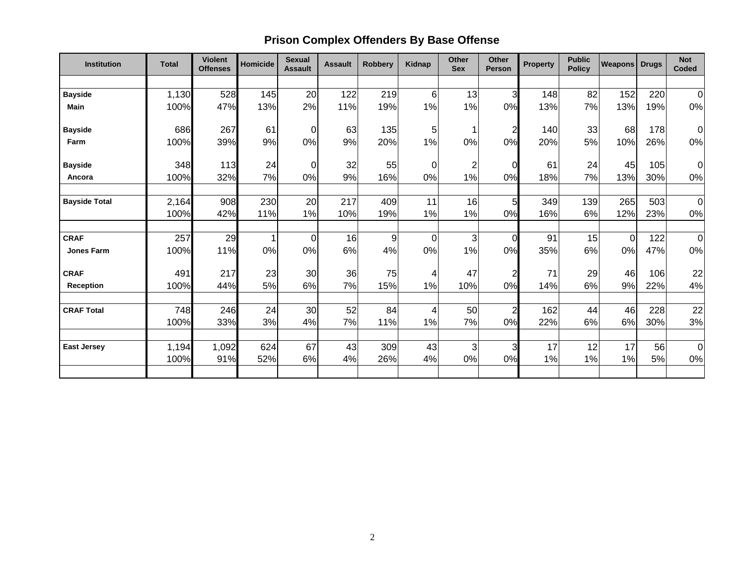# **Prison Complex Offenders By Base Offense**

| <b>Institution</b>   | <b>Total</b> | <b>Violent</b><br><b>Offenses</b> | <b>Homicide</b> | <b>Sexual</b><br><b>Assault</b> | <b>Assault</b> | <b>Robbery</b> | Kidnap  | <b>Other</b><br><b>Sex</b> | Other<br><b>Person</b> | <b>Property</b> | <b>Public</b><br><b>Policy</b> | <b>Weapons Drugs</b> |            | <b>Not</b><br>Coded |
|----------------------|--------------|-----------------------------------|-----------------|---------------------------------|----------------|----------------|---------|----------------------------|------------------------|-----------------|--------------------------------|----------------------|------------|---------------------|
|                      |              |                                   |                 |                                 |                |                |         |                            |                        |                 |                                |                      |            |                     |
| <b>Bayside</b>       | 1,130        | 528                               | 145             | 20                              | 122            | 219            | 6       | 13                         | 3                      | 148             | 82                             | 152                  | 220        | $\overline{0}$      |
| <b>Main</b>          | 100%         | 47%                               | 13%             | 2%                              | 11%            | 19%            | 1%      | 1%                         | 0%                     | 13%             | 7%                             | 13%                  | 19%        | 0%                  |
| <b>Bayside</b>       | 686          | 267                               | 61              | $\overline{0}$                  | 63             | 135            | 5       | 1                          | $\overline{c}$         | 140             | 33                             | 68                   | 178        | $\overline{0}$      |
| Farm                 | 100%         | 39%                               | 9%              | 0%                              | 9%             | 20%            | 1%      | 0%                         | 0%                     | 20%             | 5%                             | 10%                  | 26%        | 0%                  |
| <b>Bayside</b>       | 348          | 113                               | 24              | $\overline{O}$                  | 32             | 55             | 0       | $\overline{c}$             | $\Omega$               | 61              | 24                             | 45                   | 105        | $\overline{0}$      |
| Ancora               | 100%         | 32%                               | 7%              | 0%                              | 9%             | 16%            | 0%      | 1%                         | 0%                     | 18%             | 7%                             | 13%                  | 30%        | 0%                  |
| <b>Bayside Total</b> | 2,164        | 908                               | 230             | 20                              | 217            | 409            | 11      | 16                         | 5                      | 349             | 139                            | 265                  | 503        | $\overline{0}$      |
|                      | 100%         | 42%                               | 11%             | 1%                              | 10%            | 19%            | 1%      | 1%                         | 0%                     | 16%             | 6%                             | 12%                  | 23%        | 0%                  |
| <b>CRAF</b>          | 257          | 29                                | 1               | $\overline{O}$                  | 16             | 9              | 0       | 3                          | $\Omega$               | 91              | 15                             | 0                    | 122        | $\overline{0}$      |
| <b>Jones Farm</b>    | 100%         | 11%                               | $0\%$           | 0%                              | 6%             | 4%             | 0%      | 1%                         | 0%                     | 35%             | 6%                             | 0%                   | 47%        | 0%                  |
| <b>CRAF</b>          | 491          | 217                               | 23              | 30                              | 36             | 75             | 4       | 47                         | $\overline{2}$         | 71              | 29                             | 46                   | 106        | 22                  |
| <b>Reception</b>     | 100%         | 44%                               | 5%              | 6%                              | 7%             | 15%            | 1%      | 10%                        | 0%                     | 14%             | 6%                             | 9%                   | 22%        | 4%                  |
|                      |              |                                   |                 | 30                              |                | 84             |         |                            |                        |                 | 44                             | 46                   |            |                     |
| <b>CRAF Total</b>    | 748<br>100%  | 246<br>33%                        | 24<br>3%        | 4%                              | 52<br>7%       | 11%            | 4<br>1% | 50<br>7%                   | $\overline{2}$<br>0%   | 162<br>22%      | 6%                             | 6%                   | 228<br>30% | 22<br>3%            |
|                      |              |                                   |                 |                                 |                |                |         |                            |                        |                 |                                |                      |            |                     |
| <b>East Jersey</b>   | 1,194        | 1,092                             | 624             | 67                              | 43             | 309            | 43      | 3                          | 3                      | 17              | 12                             | 17                   | 56         | $\overline{0}$      |
|                      | 100%         | 91%                               | 52%             | 6%                              | 4%             | 26%            | 4%      | 0%                         | 0%                     | 1%              | 1%                             | 1%                   | 5%         | 0%                  |
|                      |              |                                   |                 |                                 |                |                |         |                            |                        |                 |                                |                      |            |                     |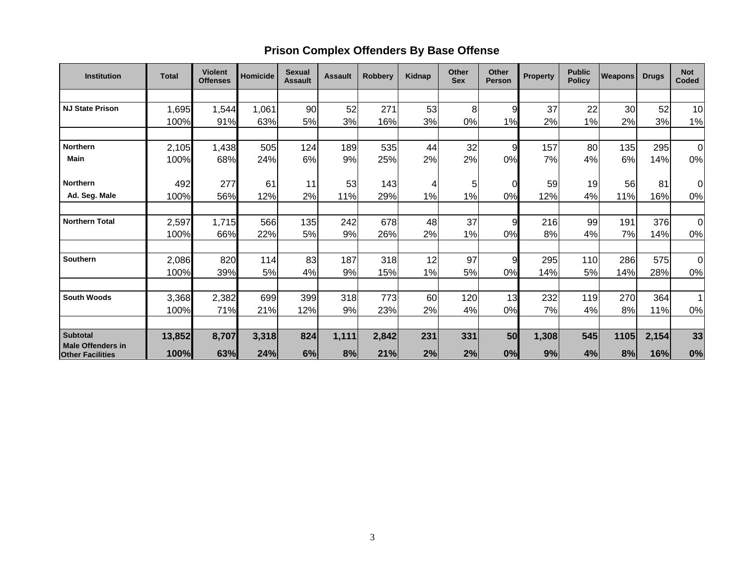## **Prison Complex Offenders By Base Offense**

| <b>Institution</b>                                  | <b>Total</b> | <b>Violent</b><br><b>Offenses</b> | <b>Homicide</b> | <b>Sexual</b><br><b>Assault</b> | <b>Assault</b> | <b>Robbery</b> | <b>Kidnap</b> | Other<br><b>Sex</b> | Other<br><b>Person</b> | <b>Property</b> | <b>Public</b><br><b>Policy</b> | <b>Weapons</b> | <b>Drugs</b> | <b>Not</b><br>Coded |
|-----------------------------------------------------|--------------|-----------------------------------|-----------------|---------------------------------|----------------|----------------|---------------|---------------------|------------------------|-----------------|--------------------------------|----------------|--------------|---------------------|
|                                                     |              |                                   |                 |                                 |                |                |               |                     |                        |                 |                                |                |              |                     |
| <b>NJ State Prison</b>                              | 1,695        | 1,544                             | 1,061           | 90                              | 52             | 271            | 53            | 8                   | 9                      | 37              | 22                             | 30             | 52           | 10                  |
|                                                     | 100%         | 91%                               | 63%             | 5%                              | 3%             | 16%            | 3%            | 0%                  | 1%                     | 2%              | 1%                             | 2%             | 3%           | 1%                  |
|                                                     |              |                                   |                 |                                 |                |                |               |                     |                        |                 |                                |                |              |                     |
| <b>Northern</b>                                     | 2,105        | 1,438                             | 505             | 124                             | 189            | 535            | 44            | 32                  | 9                      | 157             | 80                             | 135            | 295          | $\Omega$            |
| <b>Main</b>                                         | 100%         | 68%                               | 24%             | 6%                              | 9%             | 25%            | 2%            | 2%                  | 0%                     | 7%              | 4%                             | 6%             | 14%          | 0%                  |
|                                                     |              |                                   |                 |                                 |                |                |               |                     |                        |                 |                                |                |              |                     |
| <b>Northern</b>                                     | 492          | 277                               | 61              | 11                              | 53             | 143            | 4             | 5                   | 0                      | 59              | 19                             | 56             | 81           | 0                   |
| Ad. Seg. Male                                       | 100%         | 56%                               | 12%             | 2%                              | 11%            | 29%            | 1%            | 1%                  | 0%                     | 12%             | 4%                             | 11%            | 16%          | 0%                  |
|                                                     |              |                                   |                 |                                 |                |                |               |                     |                        |                 |                                |                |              |                     |
| <b>Northern Total</b>                               | 2,597        | 1,715                             | 566             | 135                             | 242            | 678            | 48            | 37                  | 9                      | 216             | 99                             | 191            | 376          | 0                   |
|                                                     | 100%         | 66%                               | 22%             | 5%                              | 9%             | 26%            | 2%            | 1%                  | 0%                     | 8%              | 4%                             | 7%             | 14%          | 0%                  |
|                                                     |              |                                   |                 |                                 |                |                |               |                     |                        |                 |                                |                |              |                     |
| <b>Southern</b>                                     | 2,086        | 820                               | 114             | 83                              | 187            | 318            | 12            | 97                  | 9                      | 295             | 110                            | 286            | 575          | $\Omega$            |
|                                                     | 100%         | 39%                               | 5%              | 4%                              | 9%             | 15%            | 1%            | 5%                  | 0%                     | 14%             | 5%                             | 14%            | 28%          | 0%                  |
|                                                     |              |                                   |                 |                                 |                |                |               |                     |                        |                 |                                |                |              |                     |
| <b>South Woods</b>                                  | 3,368        | 2,382                             | 699             | 399                             | 318            | 773            | 60            | 120                 | 13                     | 232             | 119                            | 270            | 364          | $\overline{1}$      |
|                                                     | 100%         | 71%                               | 21%             | 12%                             | 9%             | 23%            | 2%            | 4%                  | 0%                     | 7%              | 4%                             | 8%             | 11%          | 0%                  |
|                                                     |              |                                   |                 |                                 |                |                |               |                     |                        |                 |                                |                |              |                     |
| <b>Subtotal</b>                                     | 13,852       | 8,707                             | 3,318           | 824                             | 1,111          | 2,842          | 231           | 331                 | 50                     | 1,308           | 545                            | 1105           | 2,154        | 33                  |
| <b>Male Offenders in</b><br><b>Other Facilities</b> | 100%         | 63%                               | 24%             | 6%                              | 8%             | 21%            | 2%            | 2%                  | 0%                     | 9%              | 4%                             | 8%             | 16%          | 0%                  |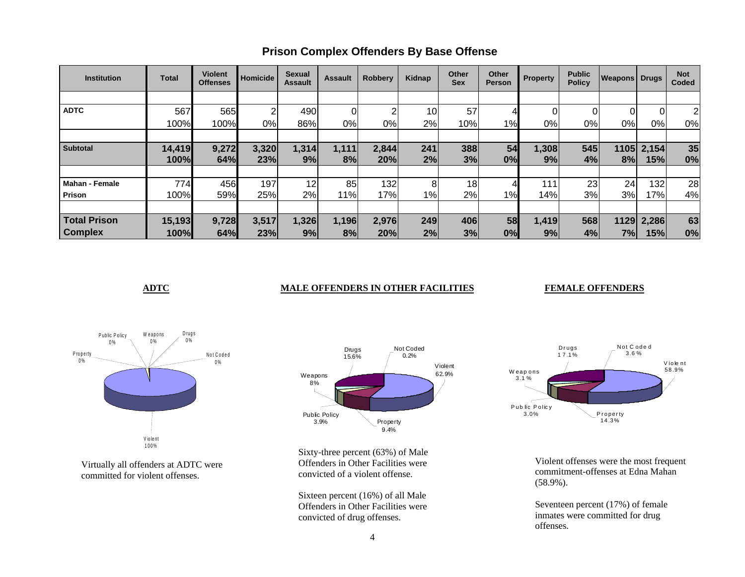| <b>Institution</b>    | <b>Total</b> | <b>Violent</b><br><b>Offenses</b> | Homicide | <b>Sexual</b><br><b>Assault</b> | <b>Assault</b> | <b>Robbery</b> | Kidnap | Other<br>Sex | Other<br><b>Person</b> | <b>Property</b> | <b>Public</b><br><b>Policy</b> | <b>Weapons Drugs</b> |       | <b>Not</b><br>Coded |
|-----------------------|--------------|-----------------------------------|----------|---------------------------------|----------------|----------------|--------|--------------|------------------------|-----------------|--------------------------------|----------------------|-------|---------------------|
|                       |              |                                   |          |                                 |                |                |        |              |                        |                 |                                |                      |       |                     |
| <b>ADTC</b>           | 567          | 565                               | 2        | 490                             |                | ⌒              | 10     | 57           |                        | 01              | 0                              | $\Omega$             | 0     | 2                   |
|                       | 100%         | 100%                              | 0%       | 86%                             | 0%             | 0%             | 2%     | 10%          | 1%                     | 0%              | 0%                             | 0%l                  | 0%    | 0%                  |
|                       |              |                                   |          |                                 |                |                |        |              |                        |                 |                                |                      |       |                     |
| <b>Subtotal</b>       | 14,419       | 9,272                             | 3,320    | 1,314                           | 1,111          | 2,844          | 241    | 388          | 54                     | 1,308           | 545                            | 1105                 | 2,154 | 35                  |
|                       | 100%         | 64%                               | 23%      | 9%                              | 8%             | 20%            | 2%     | 3%           | 0%                     | 9%              | 4%                             | 8%                   | 15%   | 0%                  |
|                       |              |                                   |          |                                 |                |                |        |              |                        |                 |                                |                      |       |                     |
| <b>Mahan - Female</b> | 774          | 456                               | 197      | 12                              | 85             | 132            | 8      | 18           |                        | $111_1$         | 23                             | 24                   | 132   | 28                  |
| Prison                | 100%         | 59%                               | 25%      | 2%                              | 11%            | 17%            | $1\%$  | 2%           | 1%                     | 14%             | 3%                             | 3%                   | 17%   | 4%                  |
|                       |              |                                   |          |                                 |                |                |        |              |                        |                 |                                |                      |       |                     |
| <b>Total Prison</b>   | 15,193       | 9,728                             | 3,517    | 1,326                           | 1,196          | 2,976          | 249    | 406          | 58                     | 1,419           | 568                            | 1129                 | 2,286 | 63                  |
| <b>Complex</b>        | 100%         | 64%                               | 23%      | 9%                              | 8%             | 20%            | 2%     | 3%           | 0%                     | 9%              | 4%                             | 7%                   | 15%   | 0%                  |

### **Prison Complex Offenders By Base Offense**

#### **ADTC** MALE OFFENDERS IN OTHER FACILITIES

#### **FEMALE OFFENDERS**



Virtually all offenders at ADTC were committed for violent offenses.



Sixty-three percent (63%) of Male Offenders in Other Facilities were convicted of a violent offense.

Sixteen percent (16%) of all Male Offenders in Other Facilities were convicted of drug offenses.



Violent offenses were the most frequent commitment-offenses at Edna Mahan (58.9%).

Seventeen percent (17%) of female inmates were committed for drug offenses.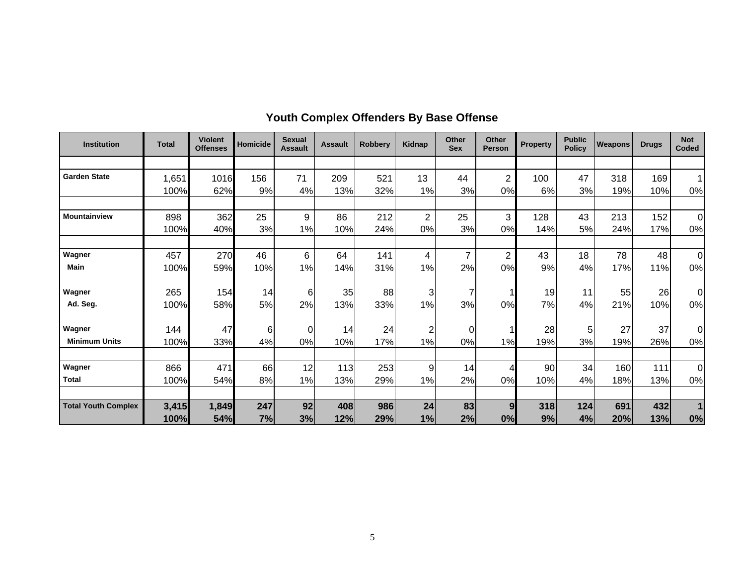| <b>Institution</b>         | <b>Total</b> | <b>Violent</b><br><b>Offenses</b> | <b>Homicide</b> | <b>Sexual</b><br><b>Assault</b> | <b>Assault</b> | Robbery | <b>Kidnap</b>  | Other<br><b>Sex</b> | <b>Other</b><br><b>Person</b> | <b>Property</b> | <b>Public</b><br><b>Policy</b> | Weapons | <b>Drugs</b> | <b>Not</b><br>Coded |
|----------------------------|--------------|-----------------------------------|-----------------|---------------------------------|----------------|---------|----------------|---------------------|-------------------------------|-----------------|--------------------------------|---------|--------------|---------------------|
|                            |              |                                   |                 |                                 |                |         |                |                     |                               |                 |                                |         |              |                     |
| <b>Garden State</b>        | 1,651        | 1016                              | 156             | 71                              | 209            | 521     | 13             | 44                  | $\overline{2}$                | 100             | 47                             | 318     | 169          |                     |
|                            | 100%         | 62%                               | 9%              | 4%                              | 13%            | 32%     | 1%             | 3%                  | 0%                            | 6%              | 3%                             | 19%     | 10%          | 0%                  |
|                            |              |                                   |                 |                                 |                |         |                |                     |                               |                 |                                |         |              |                     |
| <b>Mountainview</b>        | 898          | 362                               | 25              | 9                               | 86             | 212     | $\overline{2}$ | 25                  | 3                             | 128             | 43                             | 213     | 152          | $\Omega$            |
|                            | 100%         | 40%                               | 3%              | 1%                              | 10%            | 24%     | 0%             | 3%                  | 0%                            | 14%             | 5%                             | 24%     | 17%          | 0%                  |
|                            |              |                                   |                 |                                 |                |         |                |                     |                               |                 |                                |         |              |                     |
| Wagner                     | 457          | 270                               | 46              | 6                               | 64             | 141     | 4              | $\overline{7}$      | $\overline{2}$                | 43              | 18                             | 78      | 48           | $\mathbf 0$         |
| <b>Main</b>                | 100%         | 59%                               | 10%             | 1%                              | 14%            | 31%     | 1%             | 2%                  | 0%                            | 9%              | 4%                             | 17%     | 11%          | 0%                  |
| Wagner                     | 265          | 154                               | 14              | 6                               | 35             | 88      | 3              | 7                   |                               | 19              | 11                             | 55      | 26           | $\Omega$            |
| Ad. Seg.                   | 100%         | 58%                               | 5%              | 2%                              | 13%            | 33%     | 1%             | 3%                  | 0%                            | 7%              | 4%                             | 21%     | 10%          | 0%                  |
| Wagner                     | 144          | 47                                | 6               | 0                               | 14             | 24      | 2              | 0                   |                               | 28              | 5                              | 27      | 37           | $\Omega$            |
| <b>Minimum Units</b>       | 100%         | 33%                               | 4%              | 0%                              | 10%            | 17%     | 1%             | 0%                  | 1%                            | 19%             | 3%                             | 19%     | 26%          | 0%                  |
|                            |              |                                   |                 |                                 |                |         |                |                     |                               |                 |                                |         |              |                     |
| Wagner                     | 866          | 471                               | 66              | 12                              | 113            | 253     | 9              | 14                  | 4                             | 90              | 34                             | 160     | 111          | $\Omega$            |
| <b>Total</b>               | 100%         | 54%                               | 8%              | 1%                              | 13%            | 29%     | 1%             | 2%                  | 0%                            | 10%             | 4%                             | 18%     | 13%          | 0%                  |
| <b>Total Youth Complex</b> | 3,415        | 1,849                             | 247             | 92                              | 408            | 986     | 24             | 83                  | 9                             | 318             | 124                            | 691     | 432          |                     |
|                            | 100%         | 54%                               | 7%              | 3%                              | 12%            | 29%     | 1%             | 2%                  | 0%                            | 9%              | 4%                             | 20%     | 13%          | 0%                  |

# **Youth Complex Offenders By Base Offense**<br> **Research Line Line Latter Latter Latter Latter Latter Latter Latter Latter**